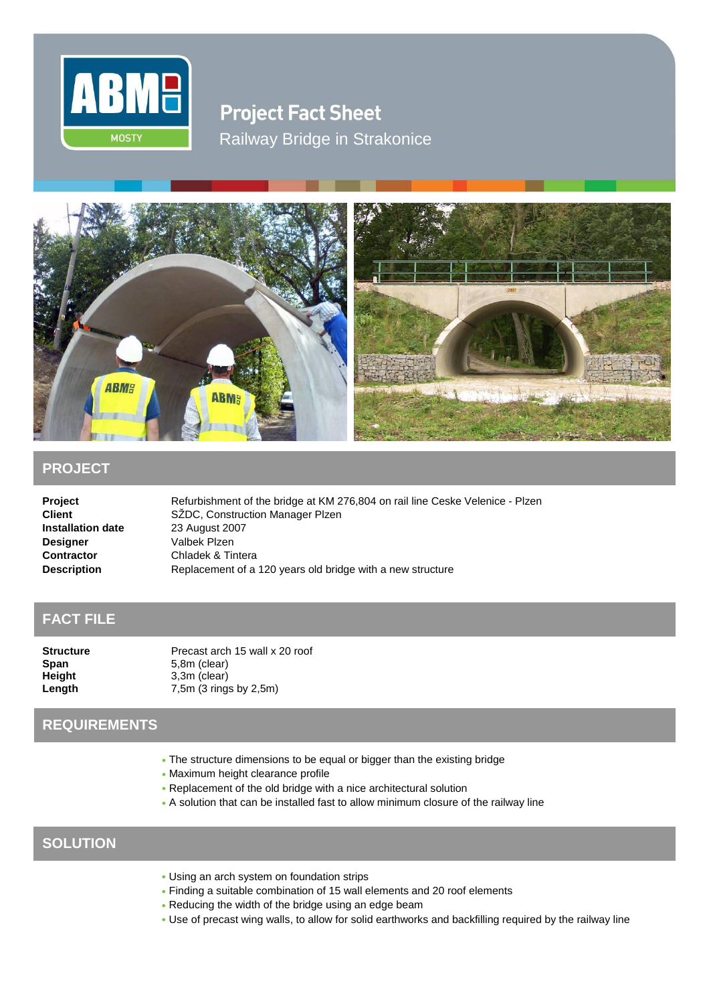

**Project Fact Sheet** Railway Bridge in Strakonice



## **PROJECT**

**Installation date** 23 August 2007 **Designer** Valbek Plzen

**Project** Refurbishment of the bridge at KM 276,804 on rail line Ceske Velenice - Plzen<br> **Client** SZDC, Construction Manager Plzen SŽDC, Construction Manager Plzen **Contractor** Chladek & Tintera **Description Replacement of a 120 years old bridge with a new structure** 

## **FACT FILE**

**Span** 5,8m (clear) **Height** 3,3m (clear)

**Structure** Precast arch 15 wall x 20 roof **Length** 7,5m (3 rings by 2,5m)

## **REQUIREMENTS**

- The structure dimensions to be equal or bigger than the existing bridge
- Maximum height clearance profile
- Replacement of the old bridge with a nice architectural solution
- A solution that can be installed fast to allow minimum closure of the railway line

## **SOLUTION**

- Using an arch system on foundation strips
- Finding a suitable combination of 15 wall elements and 20 roof elements
- Reducing the width of the bridge using an edge beam
- Use of precast wing walls, to allow for solid earthworks and backfilling required by the railway line